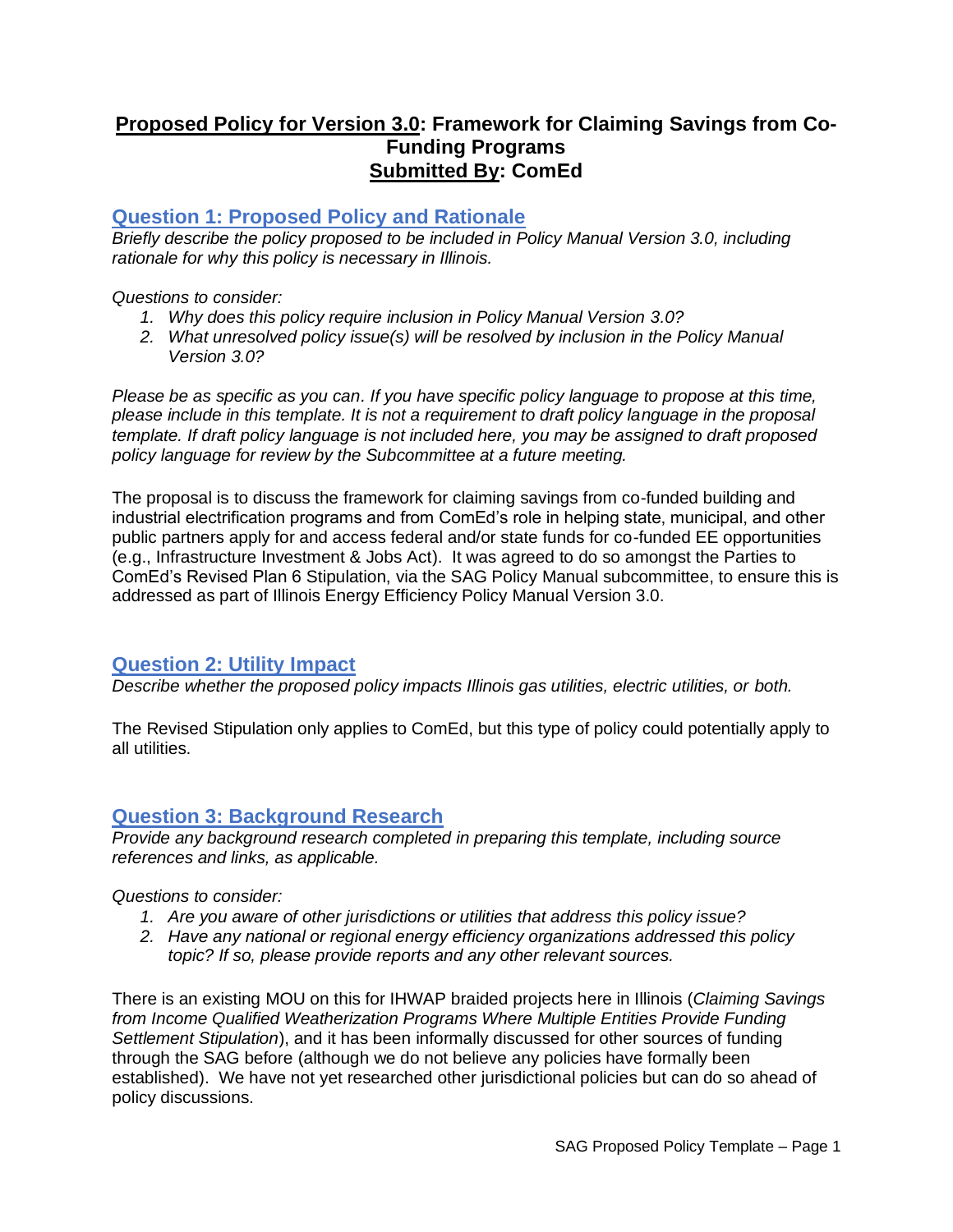# **Proposed Policy for Version 3.0: Framework for Claiming Savings from Co-Funding Programs Submitted By: ComEd**

## **Question 1: Proposed Policy and Rationale**

*Briefly describe the policy proposed to be included in Policy Manual Version 3.0, including rationale for why this policy is necessary in Illinois.* 

#### *Questions to consider:*

- *1. Why does this policy require inclusion in Policy Manual Version 3.0?*
- *2. What unresolved policy issue(s) will be resolved by inclusion in the Policy Manual Version 3.0?*

*Please be as specific as you can. If you have specific policy language to propose at this time, please include in this template. It is not a requirement to draft policy language in the proposal template. If draft policy language is not included here, you may be assigned to draft proposed policy language for review by the Subcommittee at a future meeting.*

The proposal is to discuss the framework for claiming savings from co-funded building and industrial electrification programs and from ComEd's role in helping state, municipal, and other public partners apply for and access federal and/or state funds for co-funded EE opportunities (e.g., Infrastructure Investment & Jobs Act). It was agreed to do so amongst the Parties to ComEd's Revised Plan 6 Stipulation, via the SAG Policy Manual subcommittee, to ensure this is addressed as part of Illinois Energy Efficiency Policy Manual Version 3.0.

#### **Question 2: Utility Impact**

*Describe whether the proposed policy impacts Illinois gas utilities, electric utilities, or both.* 

The Revised Stipulation only applies to ComEd, but this type of policy could potentially apply to all utilities.

## **Question 3: Background Research**

*Provide any background research completed in preparing this template, including source references and links, as applicable.* 

*Questions to consider:*

- *1. Are you aware of other jurisdictions or utilities that address this policy issue?*
- *2. Have any national or regional energy efficiency organizations addressed this policy topic? If so, please provide reports and any other relevant sources.*

There is an existing MOU on this for IHWAP braided projects here in Illinois (*Claiming Savings from Income Qualified Weatherization Programs Where Multiple Entities Provide Funding Settlement Stipulation*), and it has been informally discussed for other sources of funding through the SAG before (although we do not believe any policies have formally been established). We have not yet researched other jurisdictional policies but can do so ahead of policy discussions.